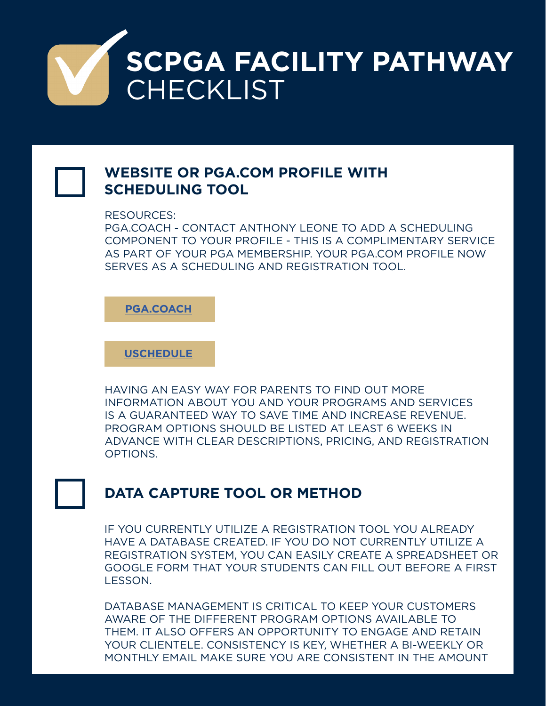

## **WEBSITE OR PGA.COM PROFILE WITH SCHEDULING TOOL**

RESOURCES:

PGA.COACH - CONTACT ANTHONY LEONE TO ADD A SCHEDULING COMPONENT TO YOUR PROFILE - THIS IS A COMPLIMENTARY SERVICE AS PART OF YOUR PGA MEMBERSHIP. YOUR PGA.COM PROFILE NOW SERVES AS A SCHEDULING AND REGISTRATION TOOL.

**[PGA.COACH](https://auth.pga.com/v2/login?return_to=https://my.pga.com/pga-coach)**

**[USCHEDULE](https://uschedule.com/)**

HAVING AN EASY WAY FOR PARENTS TO FIND OUT MORE INFORMATION ABOUT YOU AND YOUR PROGRAMS AND SERVICES IS A GUARANTEED WAY TO SAVE TIME AND INCREASE REVENUE. PROGRAM OPTIONS SHOULD BE LISTED AT LEAST 6 WEEKS IN ADVANCE WITH CLEAR DESCRIPTIONS, PRICING, AND REGISTRATION OPTIONS.

## **DATA CAPTURE TOOL OR METHOD**

IF YOU CURRENTLY UTILIZE A REGISTRATION TOOL YOU ALREADY HAVE A DATABASE CREATED. IF YOU DO NOT CURRENTLY UTILIZE A REGISTRATION SYSTEM, YOU CAN EASILY CREATE A SPREADSHEET OR GOOGLE FORM THAT YOUR STUDENTS CAN FILL OUT BEFORE A FIRST LESSON.

DATABASE MANAGEMENT IS CRITICAL TO KEEP YOUR CUSTOMERS AWARE OF THE DIFFERENT PROGRAM OPTIONS AVAILABLE TO THEM. IT ALSO OFFERS AN OPPORTUNITY TO ENGAGE AND RETAIN YOUR CLIENTELE. CONSISTENCY IS KEY, WHETHER A BI-WEEKLY OR MONTHLY EMAIL MAKE SURE YOU ARE CONSISTENT IN THE AMOUNT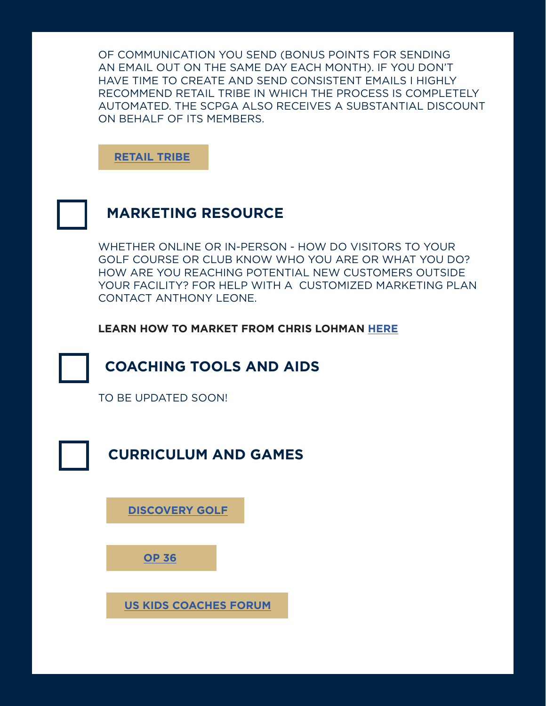OF COMMUNICATION YOU SEND (BONUS POINTS FOR SENDING AN EMAIL OUT ON THE SAME DAY EACH MONTH). IF YOU DON'T HAVE TIME TO CREATE AND SEND CONSISTENT EMAILS I HIGHLY RECOMMEND RETAIL TRIBE IN WHICH THE PROCESS IS COMPLETELY AUTOMATED. THE SCPGA ALSO RECEIVES A SUBSTANTIAL DISCOUNT ON BEHALF OF ITS MEMBERS.

**[RETAIL TRIBE](https://www.retailtribe.com/)**



## **MARKETING RESOURCE**

WHETHER ONLINE OR IN-PERSON - HOW DO VISITORS TO YOUR GOLF COURSE OR CLUB KNOW WHO YOU ARE OR WHAT YOU DO? HOW ARE YOU REACHING POTENTIAL NEW CUSTOMERS OUTSIDE YOUR FACILITY? FOR HELP WITH A CUSTOMIZED MARKETING PLAN CONTACT ANTHONY LEONE.

**LEARN HOW TO MARKET FROM CHRIS LOHMAN [HERE](https://youtu.be/tg5LwoiufQw)**



TO BE UPDATED SOON!

**CURRICULUM AND GAMES**

**[DISCOVERY GOLF](https://www.discovergolf.co/)**

**[OP 36](https://operation36.golf/the-curriculum/)**

**[U](https://www.facebook.com/groups/USKGCoachesInstitute/)[S KIDS COACHES FORU](https://medium.com/@USKidsGolfFDN)[M](https://www.facebook.com/groups/USKGCoachesInstitute/)**